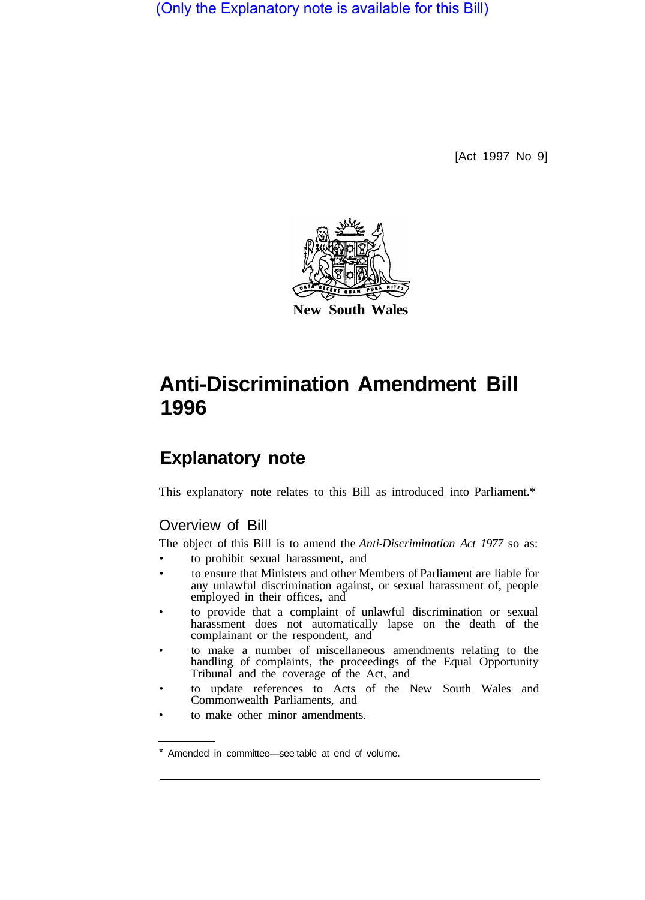(Only the Explanatory note is available for this Bill)

[Act 1997 No 9]



# **Anti-Discrimination Amendment Bill 1996**

## **Explanatory note**

This explanatory note relates to this Bill as introduced into Parliament.\*

### Overview of Bill

The object of this Bill is to amend the *Anti-Discrimination Act 1977* so as: • to prohibit sexual harassment, and

- to ensure that Ministers and other Members of Parliament are liable for any unlawful discrimination against, or sexual harassment of, people employed in their offices, and
- to provide that a complaint of unlawful discrimination or sexual harassment does not automatically lapse on the death of the complainant or the respondent, and
- to make a number of miscellaneous amendments relating to the handling of complaints, the proceedings of the Equal Opportunity Tribunal and the coverage of the Act, and
- to update references to Acts of the New South Wales and Commonwealth Parliaments, and
- to make other minor amendments.

Amended in committee—see table at end of volume.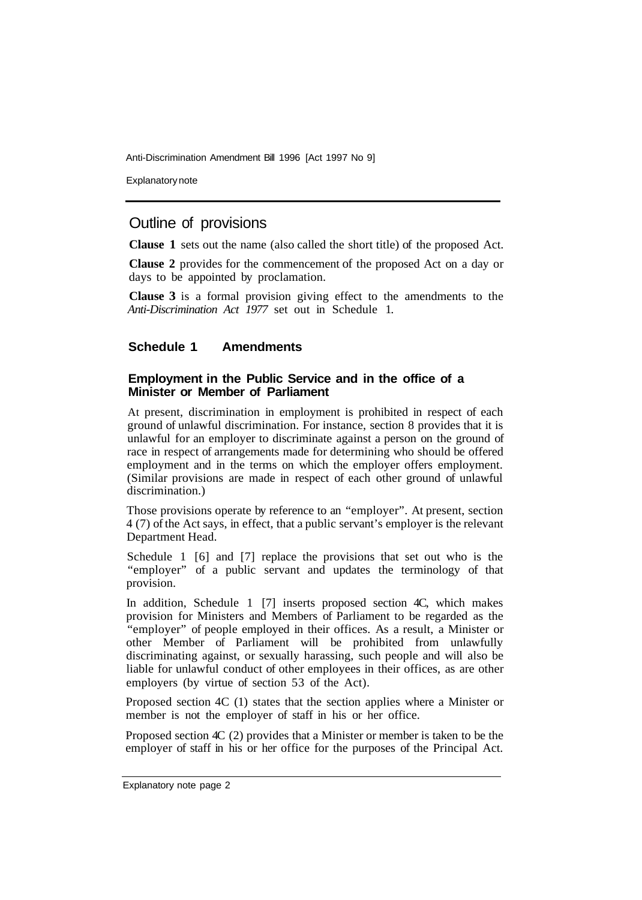Explanatory note

#### Outline of provisions

**Clause 1** sets out the name (also called the short title) of the proposed Act.

**Clause 2** provides for the commencement of the proposed Act on a day or days to be appointed by proclamation.

**Clause 3** is a formal provision giving effect to the amendments to the *Anti-Discrimination Act 1977* set out in Schedule 1.

#### **Schedule 1 Amendments**

#### **Employment in the Public Service and in the office of a Minister or Member of Parliament**

At present, discrimination in employment is prohibited in respect of each ground of unlawful discrimination. For instance, section 8 provides that it is unlawful for an employer to discriminate against a person on the ground of race in respect of arrangements made for determining who should be offered employment and in the terms on which the employer offers employment. (Similar provisions are made in respect of each other ground of unlawful discrimination.)

Those provisions operate by reference to an "employer". At present, section 4 (7) of the Act says, in effect, that a public servant's employer is the relevant Department Head.

Schedule 1 [6] and [7] replace the provisions that set out who is the "employer" of a public servant and updates the terminology of that provision.

In addition, Schedule 1 [7] inserts proposed section 4C, which makes provision for Ministers and Members of Parliament to be regarded as the "employer" of people employed in their offices. As a result, a Minister or other Member of Parliament will be prohibited from unlawfully discriminating against, or sexually harassing, such people and will also be liable for unlawful conduct of other employees in their offices, as are other employers (by virtue of section 53 of the Act).

Proposed section 4C (1) states that the section applies where a Minister or member is not the employer of staff in his or her office.

Proposed section 4C (2) provides that a Minister or member is taken to be the employer of staff in his or her office for the purposes of the Principal Act.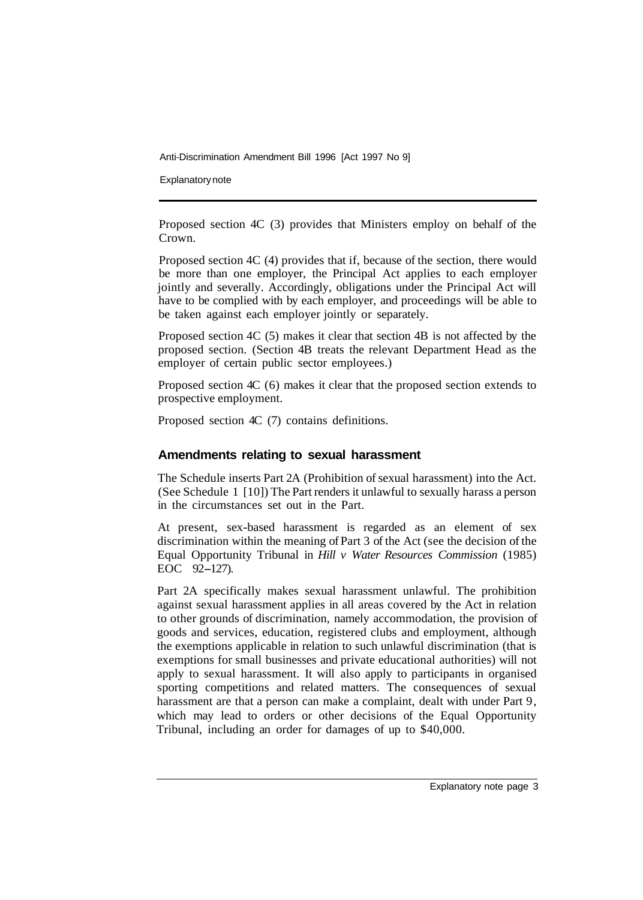Explanatory note

Proposed section 4C (3) provides that Ministers employ on behalf of the Crown.

Proposed section 4C (4) provides that if, because of the section, there would be more than one employer, the Principal Act applies to each employer jointly and severally. Accordingly, obligations under the Principal Act will have to be complied with by each employer, and proceedings will be able to be taken against each employer jointly or separately.

Proposed section 4C (5) makes it clear that section 4B is not affected by the proposed section. (Section 4B treats the relevant Department Head as the employer of certain public sector employees.)

Proposed section 4C (6) makes it clear that the proposed section extends to prospective employment.

Proposed section 4C (7) contains definitions.

#### **Amendments relating to sexual harassment**

The Schedule inserts Part 2A (Prohibition of sexual harassment) into the Act. (See Schedule 1 [10]) The Part renders it unlawful to sexually harass a person in the circumstances set out in the Part.

At present, sex-based harassment is regarded as an element of sex discrimination within the meaning of Part 3 of the Act (see the decision of the Equal Opportunity Tribunal in *Hill v Water Resources Commission* (1985) EOC 92-127).

Part 2A specifically makes sexual harassment unlawful. The prohibition against sexual harassment applies in all areas covered by the Act in relation to other grounds of discrimination, namely accommodation, the provision of goods and services, education, registered clubs and employment, although the exemptions applicable in relation to such unlawful discrimination (that is exemptions for small businesses and private educational authorities) will not apply to sexual harassment. It will also apply to participants in organised sporting competitions and related matters. The consequences of sexual harassment are that a person can make a complaint, dealt with under Part 9, which may lead to orders or other decisions of the Equal Opportunity Tribunal, including an order for damages of up to \$40,000.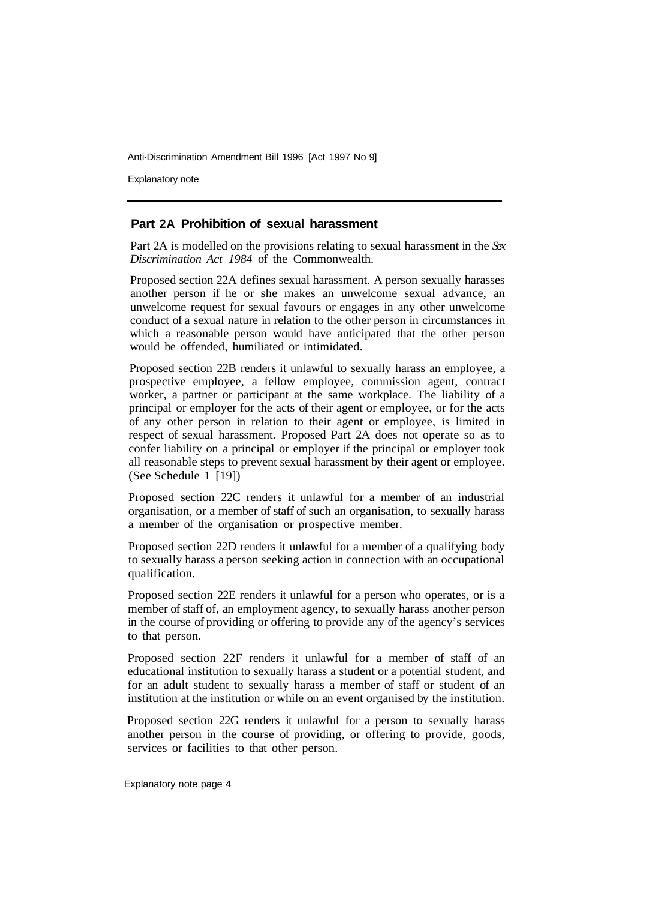Explanatory note

#### **Part 2A Prohibition of sexual harassment**

Part 2A is modelled on the provisions relating to sexual harassment in the *Sex Discrimination Act 1984* of the Commonwealth.

Proposed section 22A defines sexual harassment. A person sexually harasses another person if he or she makes an unwelcome sexual advance, an unwelcome request for sexual favours or engages in any other unwelcome conduct of a sexual nature in relation to the other person in circumstances in which a reasonable person would have anticipated that the other person would be offended, humiliated or intimidated.

Proposed section 22B renders it unlawful to sexually harass an employee, a prospective employee, a fellow employee, commission agent, contract worker, a partner or participant at the same workplace. The liability of a principal or employer for the acts of their agent or employee, or for the acts of any other person in relation to their agent or employee, is limited in respect of sexual harassment. Proposed Part 2A does not operate so as to confer liability on a principal or employer if the principal or employer took all reasonable steps to prevent sexual harassment by their agent or employee. (See Schedule 1 [19])

Proposed section 22C renders it unlawful for a member of an industrial organisation, or a member of staff of such an organisation, to sexually harass a member of the organisation or prospective member.

Proposed section 22D renders it unlawful for a member of a qualifying body to sexually harass a person seeking action in connection with an occupational qualification.

Proposed section 22E renders it unlawful for a person who operates, or is a member of staff of, an employment agency, to sexuaIly harass another person in the course of providing or offering to provide any of the agency's services to that person.

Proposed section 22F renders it unlawful for a member of staff of an educational institution to sexually harass a student or a potential student, and for an adult student to sexually harass a member of staff or student of an institution at the institution or while on an event organised by the institution.

Proposed section 22G renders it unlawful for a person to sexually harass another person in the course of providing, or offering to provide, goods, services or facilities to that other person.

Explanatory note page 4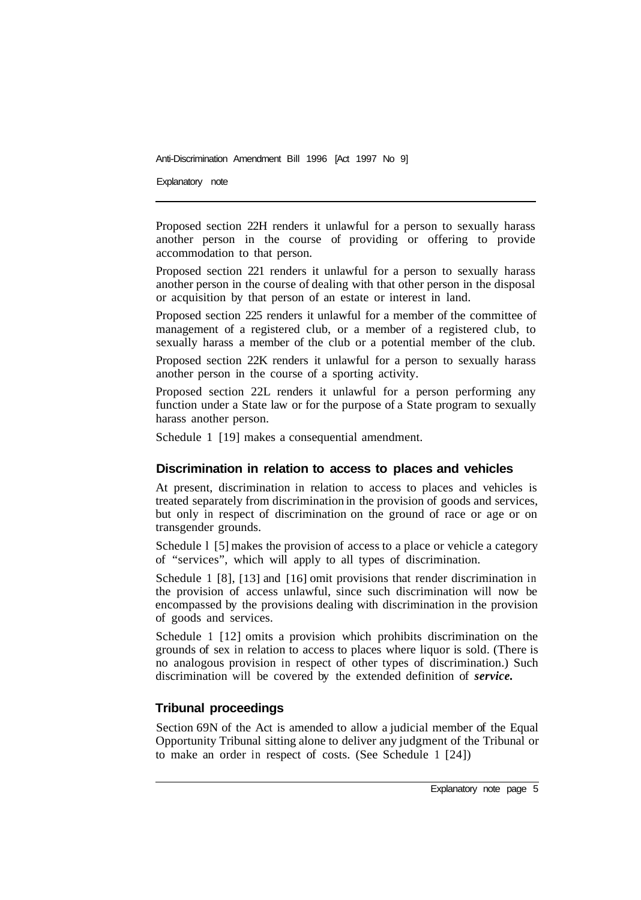Explanatory note

Proposed section 22H renders it unlawful for a person to sexually harass another person in the course of providing or offering to provide accommodation to that person.

Proposed section 221 renders it unlawful for a person to sexually harass another person in the course of dealing with that other person in the disposal or acquisition by that person of an estate or interest in land.

Proposed section 225 renders it unlawful for a member of the committee of management of a registered club, or a member of a registered club, to sexually harass a member of the club or a potential member of the club.

Proposed section 22K renders it unlawful for a person to sexually harass another person in the course of a sporting activity.

Proposed section 22L renders it unlawful for a person performing any function under a State law or for the purpose of a State program to sexually harass another person.

Schedule 1 [19] makes a consequential amendment.

#### **Discrimination in relation to access to places and vehicles**

At present, discrimination in relation to access to places and vehicles is treated separately from discrimination in the provision of goods and services, but only in respect of discrimination on the ground of race or age or on transgender grounds.

Schedule 1 [5] makes the provision of access to a place or vehicle a category of "services", which will apply to all types of discrimination.

Schedule 1 [8], [13] and [16] omit provisions that render discrimination in the provision of access unlawful, since such discrimination will now be encompassed by the provisions dealing with discrimination in the provision of goods and services.

Schedule 1 [12] omits a provision which prohibits discrimination on the grounds of sex in relation to access to places where liquor is sold. (There is no analogous provision in respect of other types of discrimination.) Such discrimination will be covered by the extended definition of *service.* 

#### **Tribunal proceedings**

Section 69N of the Act is amended to allow a judicial member of the Equal Opportunity Tribunal sitting alone to deliver any judgment of the Tribunal or to make an order in respect of costs. (See Schedule 1 [24])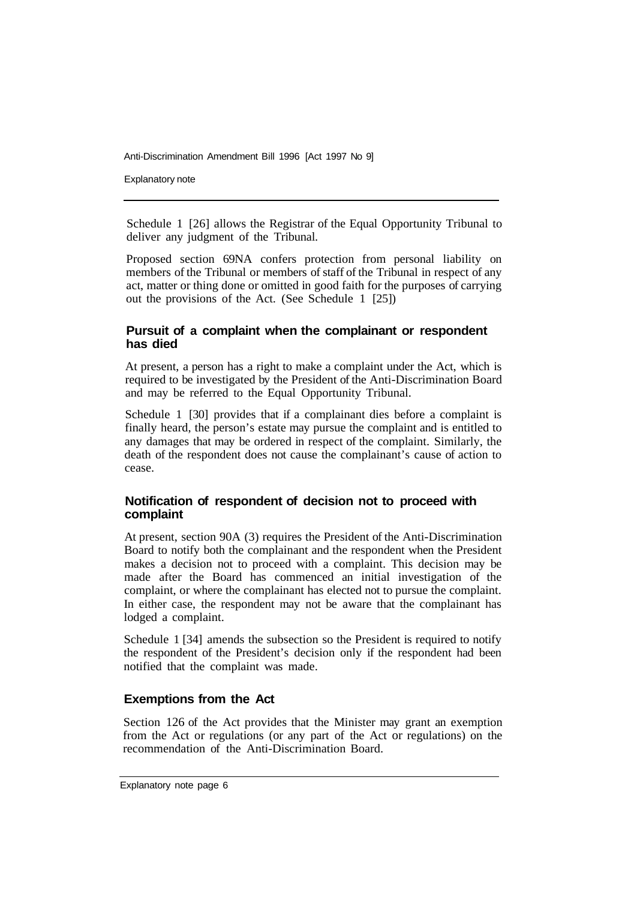Explanatory note

Schedule 1 [26] allows the Registrar of the Equal Opportunity Tribunal to deliver any judgment of the Tribunal.

Proposed section 69NA confers protection from personal liability on members of the Tribunal or members of staff of the Tribunal in respect of any act, matter or thing done or omitted in good faith for the purposes of carrying out the provisions of the Act. (See Schedule 1 [25])

#### **Pursuit of a complaint when the complainant or respondent has died**

At present, a person has a right to make a complaint under the Act, which is required to be investigated by the President of the Anti-Discrimination Board and may be referred to the Equal Opportunity Tribunal.

Schedule 1 [30] provides that if a complainant dies before a complaint is finally heard, the person's estate may pursue the complaint and is entitled to any damages that may be ordered in respect of the complaint. Similarly, the death of the respondent does not cause the complainant's cause of action to cease.

#### **Notification of respondent of decision not to proceed with complaint**

At present, section 90A (3) requires the President of the Anti-Discrimination Board to notify both the complainant and the respondent when the President makes a decision not to proceed with a complaint. This decision may be made after the Board has commenced an initial investigation of the complaint, or where the complainant has elected not to pursue the complaint. In either case, the respondent may not be aware that the complainant has lodged a complaint.

Schedule 1 [34] amends the subsection so the President is required to notify the respondent of the President's decision only if the respondent had been notified that the complaint was made.

#### **Exemptions from the Act**

Section 126 of the Act provides that the Minister may grant an exemption from the Act or regulations (or any part of the Act or regulations) on the recommendation of the Anti-Discrimination Board.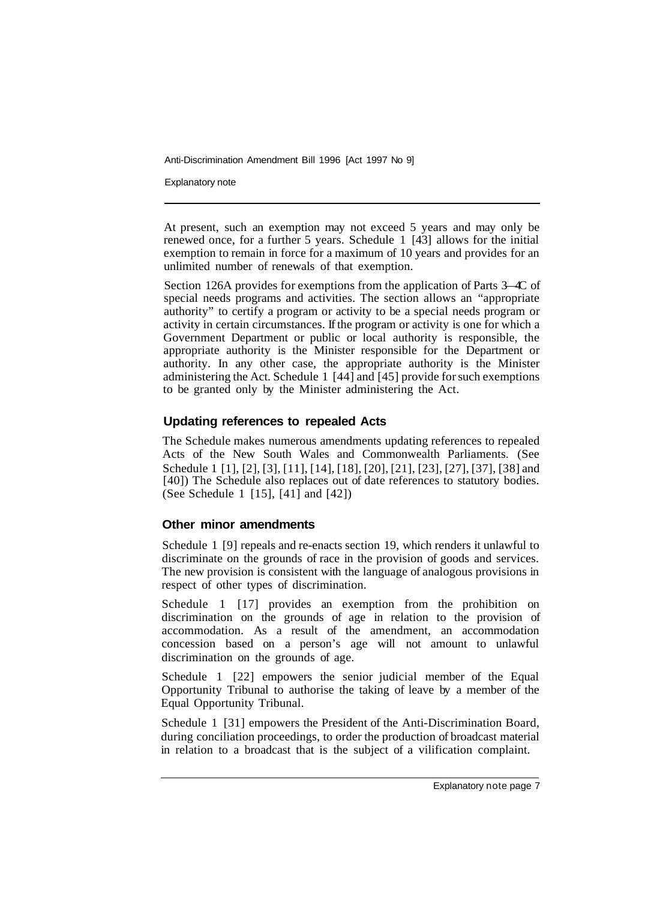Explanatory note

At present, such an exemption may not exceed 5 years and may only be renewed once, for a further 5 years. Schedule 1 [43] allows for the initial exemption to remain in force for a maximum of 10 years and provides for an unlimited number of renewals of that exemption.

Section 126A provides for exemptions from the application of Parts 3—4C of special needs programs and activities. The section allows an "appropriate authority" to certify a program or activity to be a special needs program or activity in certain circumstances. If the program or activity is one for which a Government Department or public or local authority is responsible, the appropriate authority is the Minister responsible for the Department or authority. In any other case, the appropriate authority is the Minister administering the Act. Schedule 1 [44] and [45] provide for such exemptions to be granted only by the Minister administering the Act.

#### **Updating references to repealed Acts**

The Schedule makes numerous amendments updating references to repealed Acts of the New South Wales and Commonwealth Parliaments. (See Schedule 1 [1], [2], [3], [11], [14], [18], [20], [21], [23], [27], [37], [38] and [40]) The Schedule also replaces out of date references to statutory bodies. (See Schedule 1 [15], [41] and [42])

#### **Other minor amendments**

Schedule 1 [9] repeals and re-enacts section 19, which renders it unlawful to discriminate on the grounds of race in the provision of goods and services. The new provision is consistent with the language of analogous provisions in respect of other types of discrimination.

Schedule 1 [17] provides an exemption from the prohibition on discrimination on the grounds of age in relation to the provision of accommodation. As a result of the amendment, an accommodation concession based on a person's age will not amount to unlawful discrimination on the grounds of age.

Schedule 1 [22] empowers the senior judicial member of the Equal Opportunity Tribunal to authorise the taking of leave by a member of the Equal Opportunity Tribunal.

Schedule 1 [31] empowers the President of the Anti-Discrimination Board, during conciliation proceedings, to order the production of broadcast material in relation to a broadcast that is the subject of a vilification complaint.